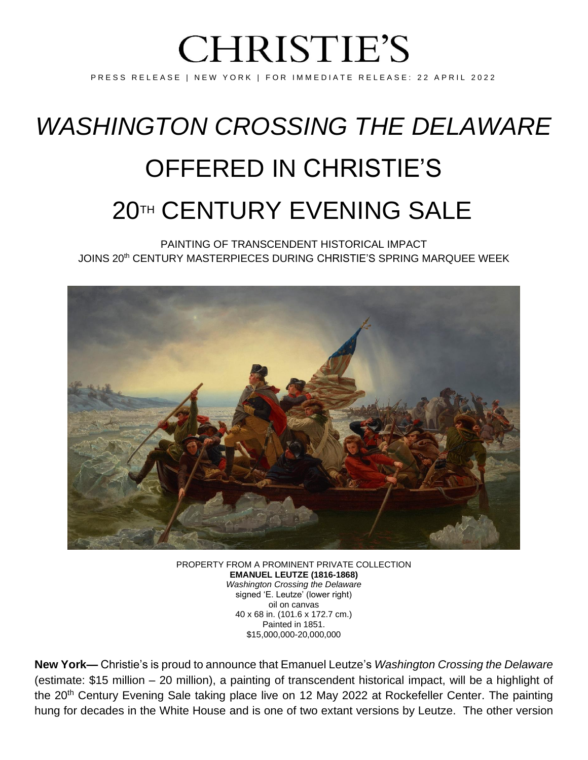# **CHRISTIE'S**

PRESS RELEASE | NEW YORK | FOR IMMEDIATE RELEASE: 22 APRIL 2022

## *WASHINGTON CROSSING THE DELAWARE* OFFERED IN CHRISTIE'S **20TH CENTURY EVENING SALE**

PAINTING OF TRANSCENDENT HISTORICAL IMPACT JOINS 20th CENTURY MASTERPIECES DURING CHRISTIE'S SPRING MARQUEE WEEK



PROPERTY FROM A PROMINENT PRIVATE COLLECTION **EMANUEL LEUTZE (1816-1868)** *Washington Crossing the Delaware* signed 'E. Leutze' (lower right) oil on canvas 40 x 68 in. (101.6 x 172.7 cm.) Painted in 1851. \$15,000,000-20,000,000

**New York—** Christie's is proud to announce that Emanuel Leutze's *Washington Crossing the Delaware* (estimate: \$15 million – 20 million), a painting of transcendent historical impact, will be a highlight of the 20<sup>th</sup> Century Evening Sale taking place live on 12 May 2022 at Rockefeller Center. The painting hung for decades in the White House and is one of two extant versions by Leutze. The other version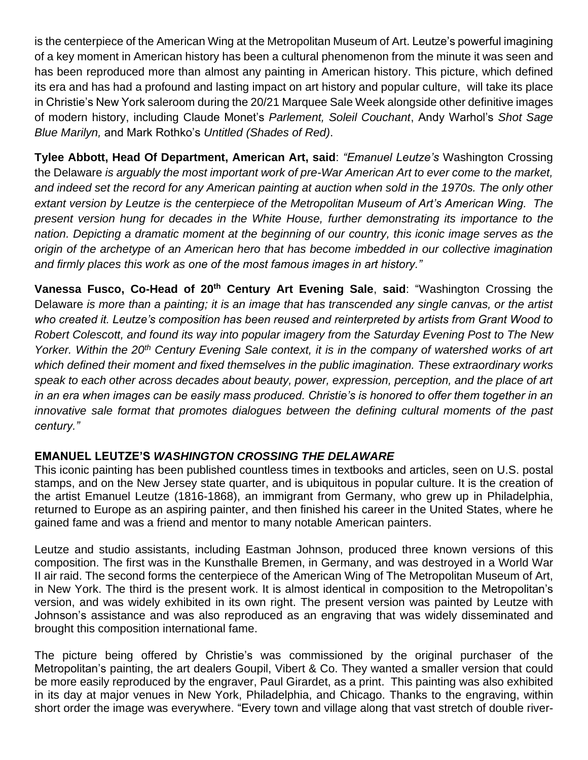is the centerpiece of the American Wing at the Metropolitan Museum of Art. Leutze's powerful imagining of a key moment in American history has been a cultural phenomenon from the minute it was seen and has been reproduced more than almost any painting in American history. This picture, which defined its era and has had a profound and lasting impact on art history and popular culture, will take its place in Christie's New York saleroom during the 20/21 Marquee Sale Week alongside other definitive images of modern history, including Claude Monet's *Parlement, Soleil Couchant*, Andy Warhol's *Shot Sage Blue Marilyn,* and Mark Rothko's *Untitled (Shades of Red)*.

**Tylee Abbott, Head Of Department, American Art, said**: *"Emanuel Leutze's* Washington Crossing the Delaware *is arguably the most important work of pre-War American Art to ever come to the market, and indeed set the record for any American painting at auction when sold in the 1970s. The only other extant version by Leutze is the centerpiece of the Metropolitan Museum of Art's American Wing. The present version hung for decades in the White House, further demonstrating its importance to the nation. Depicting a dramatic moment at the beginning of our country, this iconic image serves as the origin of the archetype of an American hero that has become imbedded in our collective imagination and firmly places this work as one of the most famous images in art history."*

**Vanessa Fusco, Co-Head of 20th Century Art Evening Sale**, **said**: "Washington Crossing the Delaware *is more than a painting; it is an image that has transcended any single canvas, or the artist who created it. Leutze's composition has been reused and reinterpreted by artists from Grant Wood to Robert Colescott, and found its way into popular imagery from the Saturday Evening Post to The New Yorker. Within the 20th Century Evening Sale context, it is in the company of watershed works of art which defined their moment and fixed themselves in the public imagination. These extraordinary works speak to each other across decades about beauty, power, expression, perception, and the place of art in an era when images can be easily mass produced. Christie's is honored to offer them together in an innovative sale format that promotes dialogues between the defining cultural moments of the past century."*

### **EMANUEL LEUTZE'S** *WASHINGTON CROSSING THE DELAWARE*

This iconic painting has been published countless times in textbooks and articles, seen on U.S. postal stamps, and on the New Jersey state quarter, and is ubiquitous in popular culture. It is the creation of the artist Emanuel Leutze (1816-1868), an immigrant from Germany, who grew up in Philadelphia, returned to Europe as an aspiring painter, and then finished his career in the United States, where he gained fame and was a friend and mentor to many notable American painters.

Leutze and studio assistants, including Eastman Johnson, produced three known versions of this composition. The first was in the Kunsthalle Bremen, in Germany, and was destroyed in a World War II air raid. The second forms the centerpiece of the American Wing of The Metropolitan Museum of Art, in New York. The third is the present work. It is almost identical in composition to the Metropolitan's version, and was widely exhibited in its own right. The present version was painted by Leutze with Johnson's assistance and was also reproduced as an engraving that was widely disseminated and brought this composition international fame.

The picture being offered by Christie's was commissioned by the original purchaser of the Metropolitan's painting, the art dealers Goupil, Vibert & Co. They wanted a smaller version that could be more easily reproduced by the engraver, Paul Girardet, as a print. This painting was also exhibited in its day at major venues in New York, Philadelphia, and Chicago. Thanks to the engraving, within short order the image was everywhere. "Every town and village along that vast stretch of double river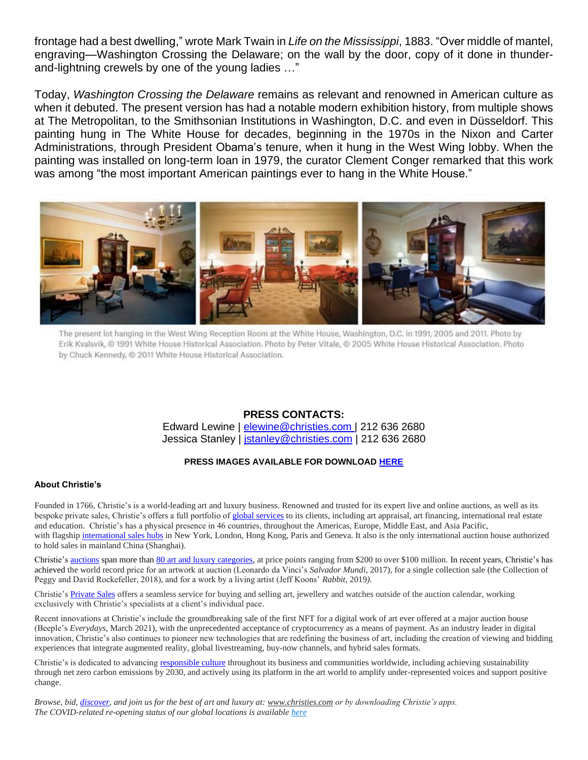frontage had a best dwelling," wrote Mark Twain in *Life on the Mississippi*, 1883. "Over middle of mantel, engraving—Washington Crossing the Delaware; on the wall by the door, copy of it done in thunderand-lightning crewels by one of the young ladies …"

Today, *Washington Crossing the Delaware* remains as relevant and renowned in American culture as when it debuted. The present version has had a notable modern exhibition history, from multiple shows at The Metropolitan, to the Smithsonian Institutions in Washington, D.C. and even in Düsseldorf. This painting hung in The White House for decades, beginning in the 1970s in the Nixon and Carter Administrations, through President Obama's tenure, when it hung in the West Wing lobby. When the painting was installed on long-term loan in 1979, the curator Clement Conger remarked that this work was among "the most important American paintings ever to hang in the White House."



The present lot hanging in the West Wing Reception Room at the White House, Washington, D.C. in 1991, 2005 and 2011. Photo by Erik Kvalsvik, @ 1991 White House Historical Association. Photo by Peter Vitale, @ 2005 White House Historical Association. Photo by Chuck Kennedy, @ 2011 White House Historical Association.

#### **PRESS CONTACTS:**

Edward Lewine | [elewine@christies.com](mailto:elewine@christies.com) | 212 636 2680 Jessica Stanley | [jstanley@christies.com](mailto:jstanley@christies.com) | 212 636 2680

#### **PRESS IMAGES AVAILABLE FOR DOWNLOAD [HERE](https://www.dropbox.com/s/6ngauwfirl1ezlo/Lot%2030C_Emanuel%20Leutze%20%281816-1868%29%20%20italicWashington%20Crossing%20the%20Delaware.jpg?dl=0)**

#### **About Christie's**

Founded in 1766, Christie's is a world-leading art and luxury business. Renowned and trusted for its expert live and online auctions, as well as its bespoke private sales, Christie's offers a full portfolio of [global services](https://www.christies.com/en/services) to its clients, including art appraisal, art financing, international real estate and education. Christie's has a physical presence in 46 countries, throughout the Americas, Europe, Middle East, and Asia Pacific, with flagship [international sales hubs](https://www.christies.com/locations/) in New York, London, Hong Kong, Paris and Geneva. It also is the only international auction house authorized to hold sales in mainland China (Shanghai).

Christie'[s auctions](https://www.christies.com/calendar/) span more tha[n 80 art and luxury categories,](https://www.christies.com/departments/Index.aspx) at price points ranging from \$200 to over \$100 million. In recent years, Christie's has achieved the world record price for an artwork at auction (Leonardo da Vinci's *Salvador Mundi,* 2017), for a single collection sale (the Collection of Peggy and David Rockefeller, 2018), and for a work by a living artist (Jeff Koons' *Rabbit,* 2019*).*

Christie'[s Private Sales](https://www.christies.com/privatesales/index?lid=1&sc_lang=en) offers a seamless service for buying and selling art, jewellery and watches outside of the auction calendar, working exclusively with Christie's specialists at a client's individual pace.

Recent innovations at Christie's include the groundbreaking sale of the first NFT for a digital work of art ever offered at a major auction house (Beeple's *Everydays*, March 2021), with the unprecedented acceptance of cryptocurrency as a means of payment. As an industry leader in digital innovation, Christie's also continues to pioneer new technologies that are redefining the business of art, including the creation of viewing and bidding experiences that integrate augmented reality, global livestreaming, buy-now channels, and hybrid sales formats.

Christie's is dedicated to advancin[g responsible culture](https://www.christies.com/about-us/corporate-social-responsibility) throughout its business and communities worldwide, including achieving sustainability through net zero carbon emissions by 2030, and actively using its platform in the art world to amplify under-represented voices and support positive change.

*Browse, bid[, discover,](https://www.christies.com/features?sc_lang=en&lid=1) and join us for the best of art and luxury at: [www.christies.com](http://www.christies.com/) or by downloading Christie's apps. The COVID-related re-opening status of our global locations is available [here](https://www.christies.com/features/Christies-precautionary-closures-10350-1.aspx?sc_lang=en)*